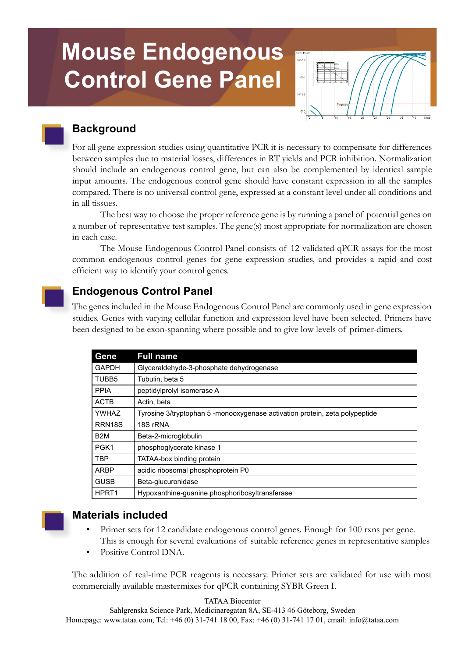# **Mouse Endogenous Control Gene Panel**



# **Background**

For all gene expression studies using quantitative PCR it is necessary to compensate for differences between samples due to material losses, differences in RT yields and PCR inhibition. Normalization should include an endogenous control gene, but can also be complemented by identical sample input amounts. The endogenous control gene should have constant expression in all the samples compared. There is no universal control gene, expressed at a constant level under all conditions and in all tissues.

The best way to choose the proper reference gene is by running a panel of potential genes on a number of representative test samples. The gene(s) most appropriate for normalization are chosen in each case.

The Mouse Endogenous Control Panel consists of 12 validated qPCR assays for the most common endogenous control genes for gene expression studies, and provides a rapid and cost efficient way to identify your control genes.

# **Endogenous Control Panel**

The genes included in the Mouse Endogenous Control Panel are commonly used in gene expression studies. Genes with varying cellular function and expression level have been selected. Primers have been designed to be exon-spanning where possible and to give low levels of primer-dimers.

| Gene               | <b>Full name</b>                                                            |
|--------------------|-----------------------------------------------------------------------------|
| <b>GAPDH</b>       | Glyceraldehyde-3-phosphate dehydrogenase                                    |
| TUBB <sub>5</sub>  | Tubulin, beta 5                                                             |
| <b>PPIA</b>        | peptidylprolyl isomerase A                                                  |
| <b>ACTB</b>        | Actin, beta                                                                 |
| <b>YWHAZ</b>       | Tyrosine 3/tryptophan 5 -monooxygenase activation protein, zeta polypeptide |
| RRN <sub>18S</sub> | 18S rRNA                                                                    |
| B <sub>2</sub> M   | Beta-2-microglobulin                                                        |
| PGK1               | phosphoglycerate kinase 1                                                   |
| <b>TBP</b>         | TATAA-box binding protein                                                   |
| <b>ARBP</b>        | acidic ribosomal phosphoprotein P0                                          |
| <b>GUSB</b>        | Beta-glucuronidase                                                          |
| HPRT <sub>1</sub>  | Hypoxanthine-quanine phosphoribosyltransferase                              |



## **Materials included**

- Primer sets for 12 candidate endogenous control genes. Enough for 100 rxns per gene. This is enough for several evaluations of suitable reference genes in representative samples
- Positive Control DNA.

The addition of real-time PCR reagents is necessary. Primer sets are validated for use with most commercially available mastermixes for qPCR containing SYBR Green I.